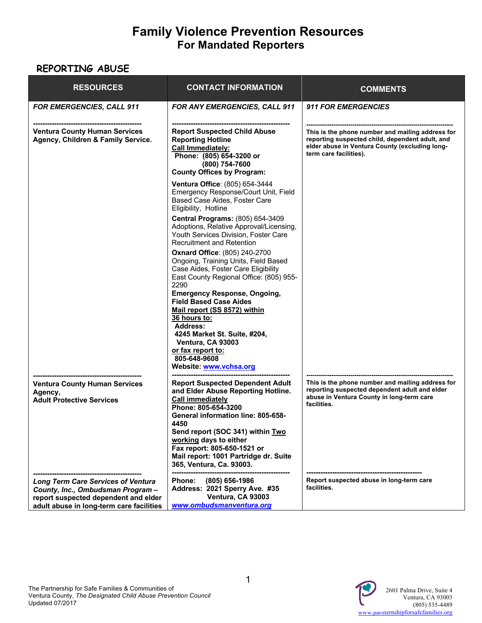# **Family Violence Prevention Resources For Mandated Reporters**

#### **REPORTING ABUSE**

| <b>RESOURCES</b>                                                                                                                                                   | <b>CONTACT INFORMATION</b>                                                                                                                                                                                                                                                                                                                             | <b>COMMENTS</b>                                                                                                                                                                 |
|--------------------------------------------------------------------------------------------------------------------------------------------------------------------|--------------------------------------------------------------------------------------------------------------------------------------------------------------------------------------------------------------------------------------------------------------------------------------------------------------------------------------------------------|---------------------------------------------------------------------------------------------------------------------------------------------------------------------------------|
| <b>FOR EMERGENCIES, CALL 911</b>                                                                                                                                   | <b>FOR ANY EMERGENCIES, CALL 911</b>                                                                                                                                                                                                                                                                                                                   | <b>911 FOR EMERGENCIES</b>                                                                                                                                                      |
| <b>Ventura County Human Services</b><br>Agency, Children & Family Service.                                                                                         | <b>Report Suspected Child Abuse</b><br><b>Reporting Hotline</b><br><b>Call Immediately:</b><br>Phone: (805) 654-3200 or<br>(800) 754-7600<br><b>County Offices by Program:</b>                                                                                                                                                                         | This is the phone number and mailing address for<br>reporting suspected child, dependent adult, and<br>elder abuse in Ventura County (excluding long-<br>term care facilities). |
|                                                                                                                                                                    | Ventura Office: (805) 654-3444<br>Emergency Response/Court Unit, Field<br>Based Case Aides, Foster Care<br>Eligibility, Hotline                                                                                                                                                                                                                        |                                                                                                                                                                                 |
|                                                                                                                                                                    | <b>Central Programs: (805) 654-3409</b><br>Adoptions, Relative Approval/Licensing,<br>Youth Services Division, Foster Care<br><b>Recruitment and Retention</b>                                                                                                                                                                                         |                                                                                                                                                                                 |
|                                                                                                                                                                    | <b>Oxnard Office: (805) 240-2700</b><br>Ongoing, Training Units, Field Based<br>Case Aides, Foster Care Eligibility<br>East County Regional Office: (805) 955-<br>2290<br><b>Emergency Response, Ongoing,</b>                                                                                                                                          |                                                                                                                                                                                 |
|                                                                                                                                                                    | <b>Field Based Case Aides</b><br>Mail report (SS 8572) within<br>36 hours to:<br><b>Address:</b>                                                                                                                                                                                                                                                       |                                                                                                                                                                                 |
|                                                                                                                                                                    | 4245 Market St. Suite, #204,<br>Ventura, CA 93003<br>or fax report to:<br>805-648-9608<br>Website: www.vchsa.org                                                                                                                                                                                                                                       |                                                                                                                                                                                 |
| <b>Ventura County Human Services</b><br>Agency,<br><b>Adult Protective Services</b>                                                                                | <b>Report Suspected Dependent Adult</b><br>and Elder Abuse Reporting Hotline.<br><b>Call immediately</b><br>Phone: 805-654-3200<br><b>General information line: 805-658-</b><br>4450<br>Send report (SOC 341) within Two<br>working days to either<br>Fax report: 805-650-1521 or<br>Mail report: 1001 Partridge dr. Suite<br>365, Ventura, Ca. 93003. | This is the phone number and mailing address for<br>reporting suspected dependent adult and elder<br>abuse in Ventura County in long-term care<br>facilities.                   |
| <b>Long Term Care Services of Ventura</b><br>County, Inc., Ombudsman Program -<br>report suspected dependent and elder<br>adult abuse in long-term care facilities | (805) 656-1986<br><b>Phone:</b><br>Address: 2021 Sperry Ave. #35<br>Ventura, CA 93003<br>www.ombudsmanventura.org                                                                                                                                                                                                                                      | Report suspected abuse in long-term care<br>facilities.                                                                                                                         |

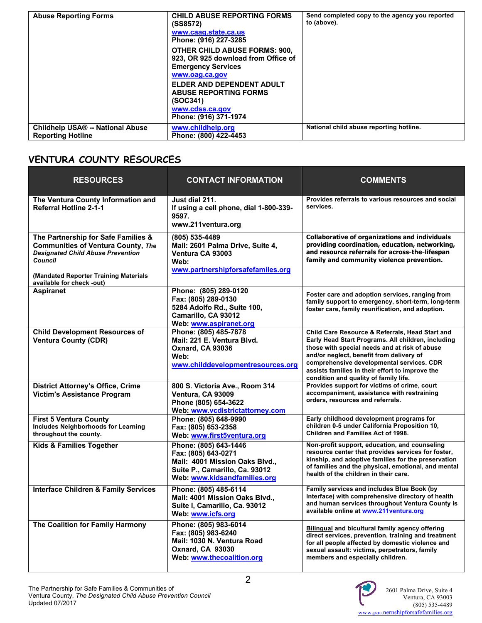| <b>Abuse Reporting Forms</b>            | <b>CHILD ABUSE REPORTING FORMS</b><br>(SS8572)<br>www.caag.state.ca.us<br>Phone: (916) 227-3285<br><b>OTHER CHILD ABUSE FORMS: 900.</b><br>923. OR 925 download from Office of<br><b>Emergency Services</b><br>www.oag.ca.gov<br>ELDER AND DEPENDENT ADULT<br><b>ABUSE REPORTING FORMS</b><br>(SOC341)<br>www.cdss.ca.gov | Send completed copy to the agency you reported<br>to (above). |
|-----------------------------------------|---------------------------------------------------------------------------------------------------------------------------------------------------------------------------------------------------------------------------------------------------------------------------------------------------------------------------|---------------------------------------------------------------|
| <b>Childhelp USA® -- National Abuse</b> | Phone: (916) 371-1974<br>www.childhelp.org                                                                                                                                                                                                                                                                                | National child abuse reporting hotline.                       |
| <b>Reporting Hotline</b>                | Phone: (800) 422-4453                                                                                                                                                                                                                                                                                                     |                                                               |

### **VENTURA COUNTY RESOURCES**

| <b>RESOURCES</b>                                                                                                                                                                                                     | <b>CONTACT INFORMATION</b>                                                                                                                       | <b>COMMENTS</b>                                                                                                                                                                                                                                                                                                                             |
|----------------------------------------------------------------------------------------------------------------------------------------------------------------------------------------------------------------------|--------------------------------------------------------------------------------------------------------------------------------------------------|---------------------------------------------------------------------------------------------------------------------------------------------------------------------------------------------------------------------------------------------------------------------------------------------------------------------------------------------|
| The Ventura County Information and<br><b>Referral Hotline 2-1-1</b>                                                                                                                                                  | Just dial 211.<br>If using a cell phone, dial 1-800-339-<br>9597.<br>www.211ventura.org                                                          | Provides referrals to various resources and social<br>services.                                                                                                                                                                                                                                                                             |
| The Partnership for Safe Families &<br><b>Communities of Ventura County, The</b><br><b>Designated Child Abuse Prevention</b><br><b>Council</b><br>(Mandated Reporter Training Materials<br>available for check -out) | (805) 535-4489<br>Mail: 2601 Palma Drive, Suite 4,<br>Ventura CA 93003<br>Web:<br>www.partnershipforsafefamiles.org                              | <b>Collaborative of organizations and individuals</b><br>providing coordination, education, networking,<br>and resource referrals for across-the-lifespan<br>family and community violence prevention.                                                                                                                                      |
| <b>Aspiranet</b>                                                                                                                                                                                                     | Phone: (805) 289-0120<br>Fax: (805) 289-0130<br>5284 Adolfo Rd., Suite 100,<br>Camarillo, CA 93012<br>Web: www.aspiranet.org                     | Foster care and adoption services, ranging from<br>family support to emergency, short-term, long-term<br>foster care, family reunification, and adoption.                                                                                                                                                                                   |
| <b>Child Development Resources of</b><br><b>Ventura County (CDR)</b>                                                                                                                                                 | Phone: (805) 485-7878<br>Mail: 221 E. Ventura Blvd.<br><b>Oxnard, CA 93036</b><br>Web:<br>www.childdevelopmentresources.org                      | Child Care Resource & Referrals, Head Start and<br>Early Head Start Programs. All children, including<br>those with special needs and at risk of abuse<br>and/or neglect, benefit from delivery of<br>comprehensive developmental services. CDR<br>assists families in their effort to improve the<br>condition and quality of family life. |
| <b>District Attorney's Office, Crime</b><br>Victim's Assistance Program                                                                                                                                              | 800 S. Victoria Ave., Room 314<br>Ventura, CA 93009<br>Phone (805) 654-3622<br>Web: www.vcdistrictattorney.com                                   | Provides support for victims of crime, court<br>accompaniment, assistance with restraining<br>orders, resources and referrals.                                                                                                                                                                                                              |
| <b>First 5 Ventura County</b><br><b>Includes Neighborhoods for Learning</b><br>throughout the county.                                                                                                                | Phone: (805) 648-9990<br>Fax: (805) 653-2358<br>Web: www.first5ventura.org                                                                       | Early childhood development programs for<br>children 0-5 under California Proposition 10,<br>Children and Families Act of 1998.                                                                                                                                                                                                             |
| <b>Kids &amp; Families Together</b>                                                                                                                                                                                  | Phone: (805) 643-1446<br>Fax: (805) 643-0271<br>Mail: 4001 Mission Oaks Blvd.,<br>Suite P., Camarillo, Ca. 93012<br>Web: www.kidsandfamilies.org | Non-profit support, education, and counseling<br>resource center that provides services for foster,<br>kinship, and adoptive families for the preservation<br>of families and the physical, emotional, and mental<br>health of the children in their care.                                                                                  |
| <b>Interface Children &amp; Family Services</b>                                                                                                                                                                      | Phone: (805) 485-6114<br>Mail: 4001 Mission Oaks Blvd.,<br>Suite I, Camarillo, Ca. 93012<br>Web: www.icfs.org                                    | Family services and includes Blue Book (by<br>Interface) with comprehensive directory of health<br>and human services throughout Ventura County is<br>available online at www.211ventura.org                                                                                                                                                |
| The Coalition for Family Harmony                                                                                                                                                                                     | Phone: (805) 983-6014<br>Fax: (805) 983-6240<br>Mail: 1030 N. Ventura Road<br><b>Oxnard, CA 93030</b><br>Web: www.thecoalition.org               | Bilingual and bicultural family agency offering<br>direct services, prevention, training and treatment<br>for all people affected by domestic violence and<br>sexual assault: victims, perpetrators, family<br>members and especially children.                                                                                             |

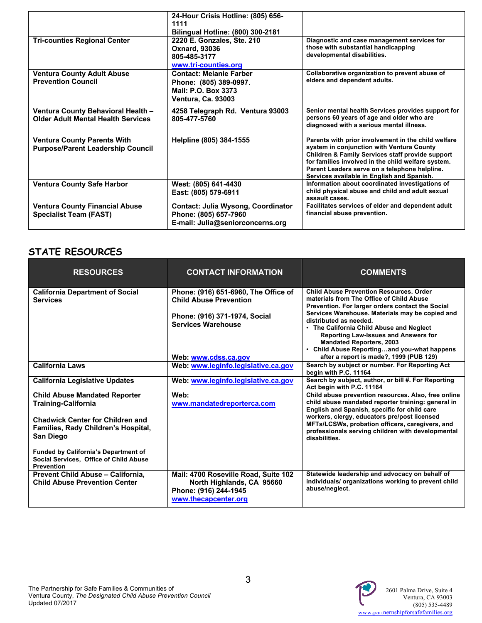|                                                                                 | 24-Hour Crisis Hotline: (805) 656-<br>1111<br><b>Bilingual Hotline: (800) 300-2181</b>                       |                                                                                                                                                                                                                                                                                                           |
|---------------------------------------------------------------------------------|--------------------------------------------------------------------------------------------------------------|-----------------------------------------------------------------------------------------------------------------------------------------------------------------------------------------------------------------------------------------------------------------------------------------------------------|
| <b>Tri-counties Regional Center</b>                                             | 2220 E. Gonzales, Ste. 210<br><b>Oxnard, 93036</b><br>805-485-3177<br>www.tri-counties.org                   | Diagnostic and case management services for<br>those with substantial handicapping<br>developmental disabilities.                                                                                                                                                                                         |
| <b>Ventura County Adult Abuse</b><br><b>Prevention Council</b>                  | <b>Contact: Melanie Farber</b><br>Phone: (805) 389-0997.<br>Mail: P.O. Box 3373<br><b>Ventura, Ca. 93003</b> | Collaborative organization to prevent abuse of<br>elders and dependent adults.                                                                                                                                                                                                                            |
| Ventura County Behavioral Health -<br><b>Older Adult Mental Health Services</b> | 4258 Telegraph Rd. Ventura 93003<br>805-477-5760                                                             | Senior mental health Services provides support for<br>persons 60 years of age and older who are<br>diagnosed with a serious mental illness.                                                                                                                                                               |
| <b>Ventura County Parents With</b><br><b>Purpose/Parent Leadership Council</b>  | Helpline (805) 384-1555                                                                                      | Parents with prior involvement in the child welfare<br>system in conjunction with Ventura County<br>Children & Family Services staff provide support<br>for families involved in the child welfare system.<br>Parent Leaders serve on a telephone helpline.<br>Services available in English and Spanish. |
| <b>Ventura County Safe Harbor</b>                                               | West: (805) 641-4430<br>East: (805) 579-6911                                                                 | Information about coordinated investigations of<br>child physical abuse and child and adult sexual<br>assault cases.                                                                                                                                                                                      |
| <b>Ventura County Financial Abuse</b><br><b>Specialist Team (FAST)</b>          | <b>Contact: Julia Wysong, Coordinator</b><br>Phone: (805) 657-7960<br>E-mail: Julia@seniorconcerns.org       | Facilitates services of elder and dependent adult<br>financial abuse prevention.                                                                                                                                                                                                                          |

## **STATE RESOURCES**

| <b>RESOURCES</b>                                                                                                                                                                                                                                                  | <b>CONTACT INFORMATION</b>                                                                                                                                  | <b>COMMENTS</b>                                                                                                                                                                                                                                                                                                                                                                                                                                     |
|-------------------------------------------------------------------------------------------------------------------------------------------------------------------------------------------------------------------------------------------------------------------|-------------------------------------------------------------------------------------------------------------------------------------------------------------|-----------------------------------------------------------------------------------------------------------------------------------------------------------------------------------------------------------------------------------------------------------------------------------------------------------------------------------------------------------------------------------------------------------------------------------------------------|
| <b>California Department of Social</b><br><b>Services</b>                                                                                                                                                                                                         | Phone: (916) 651-6960, The Office of<br><b>Child Abuse Prevention</b><br>Phone: (916) 371-1974, Social<br><b>Services Warehouse</b><br>Web: www.cdss.ca.gov | <b>Child Abuse Prevention Resources, Order</b><br>materials from The Office of Child Abuse<br>Prevention. For larger orders contact the Social<br>Services Warehouse. Materials may be copied and<br>distributed as needed.<br>• The California Child Abuse and Neglect<br><b>Reporting Law-Issues and Answers for</b><br><b>Mandated Reporters, 2003</b><br>• Child Abuse Reportingand you-what happens<br>after a report is made?, 1999 (PUB 129) |
| <b>California Laws</b>                                                                                                                                                                                                                                            | Web: www.leginfo.legislative.ca.gov                                                                                                                         | Search by subject or number. For Reporting Act<br>begin with P.C. 11164                                                                                                                                                                                                                                                                                                                                                                             |
| <b>California Legislative Updates</b>                                                                                                                                                                                                                             | Web: www.leginfo.legislative.ca.gov                                                                                                                         | Search by subject, author, or bill #. For Reporting<br>Act begin with P.C. 11164                                                                                                                                                                                                                                                                                                                                                                    |
| <b>Child Abuse Mandated Reporter</b><br><b>Training-California</b><br><b>Chadwick Center for Children and</b><br>Families, Rady Children's Hospital,<br><b>San Diego</b><br><b>Funded by California's Department of</b><br>Social Services, Office of Child Abuse | Web:<br>www.mandatedreporterca.com                                                                                                                          | Child abuse prevention resources. Also, free online<br>child abuse mandated reporter training: general in<br>English and Spanish, specific for child care<br>workers, clergy, educators pre/post licensed<br>MFTs/LCSWs, probation officers, caregivers, and<br>professionals serving children with developmental<br>disabilities.                                                                                                                  |
| <b>Prevention</b><br>Prevent Child Abuse - California.<br><b>Child Abuse Prevention Center</b>                                                                                                                                                                    | Mail: 4700 Roseville Road, Suite 102<br>North Highlands, CA 95660<br>Phone: (916) 244-1945<br>www.thecapcenter.org                                          | Statewide leadership and advocacy on behalf of<br>individuals/organizations working to prevent child<br>abuse/neglect.                                                                                                                                                                                                                                                                                                                              |